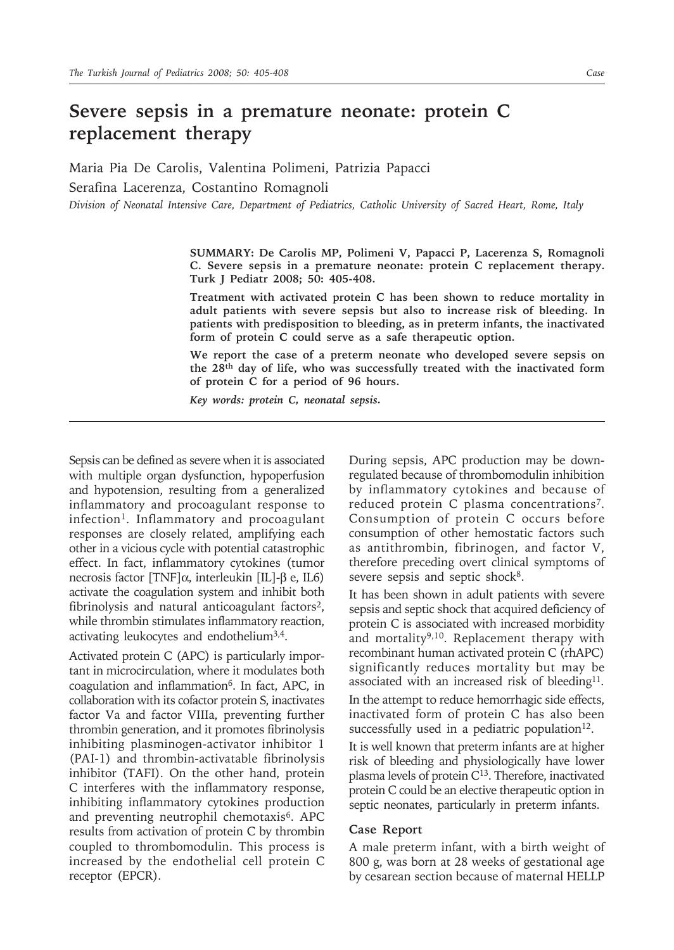# **Severe sepsis in a premature neonate: protein C replacement therapy**

Maria Pia De Carolis, Valentina Polimeni, Patrizia Papacci Serafina Lacerenza, Costantino Romagnoli *Division of Neonatal Intensive Care, Department of Pediatrics, Catholic University of Sacred Heart, Rome, Italy*

> **SUMMARY: De Carolis MP, Polimeni V, Papacci P, Lacerenza S, Romagnoli C. Severe sepsis in a premature neonate: protein C replacement therapy. Turk J Pediatr 2008; 50: 405-408.**

> **Treatment with activated protein C has been shown to reduce mortality in adult patients with severe sepsis but also to increase risk of bleeding. In patients with predisposition to bleeding, as in preterm infants, the inactivated form of protein C could serve as a safe therapeutic option.**

> **We report the case of a preterm neonate who developed severe sepsis on the 28th day of life, who was successfully treated with the inactivated form of protein C for a period of 96 hours.**

*Key words: protein C, neonatal sepsis.*

Sepsis can be defined as severe when it is associated with multiple organ dysfunction, hypoperfusion and hypotension, resulting from a generalized inflammatory and procoagulant response to infection<sup>1</sup>. Inflammatory and procoagulant responses are closely related, amplifying each other in a vicious cycle with potential catastrophic effect. In fact, inflammatory cytokines (tumor necrosis factor [TNF]α, interleukin [IL]-β e, IL6) activate the coagulation system and inhibit both fibrinolysis and natural anticoagulant factors<sup>2</sup>, while thrombin stimulates inflammatory reaction, activating leukocytes and endothelium3,4.

Activated protein C (APC) is particularly important in microcirculation, where it modulates both coagulation and inflammation6. In fact, APC, in collaboration with its cofactor protein S, inactivates factor Va and factor VIIIa, preventing further thrombin generation, and it promotes fibrinolysis inhibiting plasminogen-activator inhibitor 1 (PAI-1) and thrombin-activatable fibrinolysis inhibitor (TAFI). On the other hand, protein C interferes with the inflammatory response, inhibiting inflammatory cytokines production and preventing neutrophil chemotaxis<sup>6</sup>. APC results from activation of protein C by thrombin coupled to thrombomodulin. This process is increased by the endothelial cell protein C receptor (EPCR).

During sepsis, APC production may be downregulated because of thrombomodulin inhibition by inflammatory cytokines and because of reduced protein C plasma concentrations7. Consumption of protein C occurs before consumption of other hemostatic factors such as antithrombin, fibrinogen, and factor V, therefore preceding overt clinical symptoms of severe sepsis and septic shock<sup>8</sup>.

It has been shown in adult patients with severe sepsis and septic shock that acquired deficiency of protein C is associated with increased morbidity and mortality $9,10$ . Replacement therapy with recombinant human activated protein C (rhAPC) significantly reduces mortality but may be associated with an increased risk of bleeding<sup>11</sup>. In the attempt to reduce hemorrhagic side effects, inactivated form of protein C has also been successfully used in a pediatric population $12$ .

It is well known that preterm infants are at higher risk of bleeding and physiologically have lower plasma levels of protein C13. Therefore, inactivated protein C could be an elective therapeutic option in septic neonates, particularly in preterm infants.

### **Case Report**

A male preterm infant, with a birth weight of 800 g, was born at 28 weeks of gestational age by cesarean section because of maternal HELLP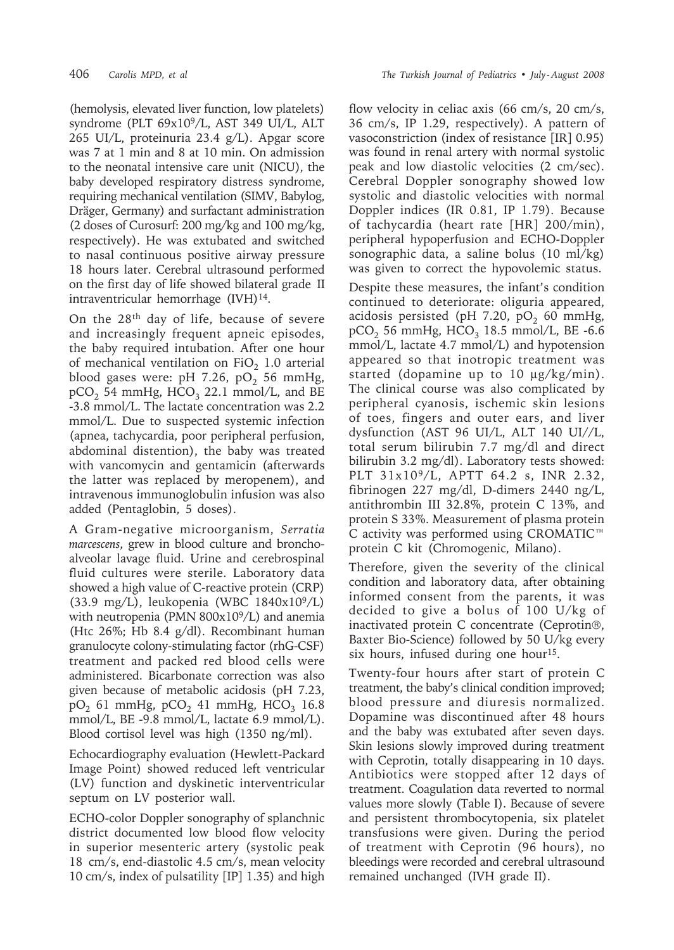(hemolysis, elevated liver function, low platelets) syndrome (PLT 69x109/L, AST 349 UI/L, ALT 265 UI/L, proteinuria 23.4 g/L). Apgar score was 7 at 1 min and 8 at 10 min. On admission to the neonatal intensive care unit (NICU), the baby developed respiratory distress syndrome, requiring mechanical ventilation (SIMV, Babylog, Dräger, Germany) and surfactant administration (2 doses of Curosurf: 200 mg/kg and 100 mg/kg, respectively). He was extubated and switched to nasal continuous positive airway pressure 18 hours later. Cerebral ultrasound performed on the first day of life showed bilateral grade II intraventricular hemorrhage (IVH)<sup>14</sup>.

On the 28th day of life, because of severe and increasingly frequent apneic episodes, the baby required intubation. After one hour of mechanical ventilation on  $FiO<sub>2</sub> 1.0$  arterial blood gases were: pH 7.26,  $pO_2$  56 mmHg,  $pCO<sub>2</sub>$  54 mmHg, HCO<sub>3</sub> 22.1 mmol/L, and BE -3.8 mmol/L. The lactate concentration was 2.2 mmol/L. Due to suspected systemic infection (apnea, tachycardia, poor peripheral perfusion, abdominal distention), the baby was treated with vancomycin and gentamicin (afterwards the latter was replaced by meropenem), and intravenous immunoglobulin infusion was also added (Pentaglobin, 5 doses).

A Gram-negative microorganism, *Serratia marcescens*, grew in blood culture and bronchoalveolar lavage fluid. Urine and cerebrospinal fluid cultures were sterile. Laboratory data showed a high value of C-reactive protein (CRP) (33.9 mg/L), leukopenia (WBC 1840x109/L) with neutropenia (PMN  $800x10<sup>9</sup>/L$ ) and anemia (Htc 26%; Hb 8.4 g/dl). Recombinant human granulocyte colony-stimulating factor (rhG-CSF) treatment and packed red blood cells were administered. Bicarbonate correction was also given because of metabolic acidosis (pH 7.23,  $pO_2$  61 mmHg,  $pCO_2$  41 mmHg, HCO<sub>3</sub> 16.8 mmol/L, BE -9.8 mmol/L, lactate 6.9 mmol/L). Blood cortisol level was high (1350 ng/ml).

Echocardiography evaluation (Hewlett-Packard Image Point) showed reduced left ventricular (LV) function and dyskinetic interventricular septum on LV posterior wall.

ECHO-color Doppler sonography of splanchnic district documented low blood flow velocity in superior mesenteric artery (systolic peak 18 cm/s, end-diastolic 4.5 cm/s, mean velocity 10 cm/s, index of pulsatility [IP] 1.35) and high

flow velocity in celiac axis (66 cm/s, 20 cm/s, 36 cm/s, IP 1.29, respectively). A pattern of vasoconstriction (index of resistance [IR] 0.95) was found in renal artery with normal systolic peak and low diastolic velocities (2 cm/sec). Cerebral Doppler sonography showed low systolic and diastolic velocities with normal Doppler indices (IR 0.81, IP 1.79). Because of tachycardia (heart rate [HR] 200/min), peripheral hypoperfusion and ECHO-Doppler sonographic data, a saline bolus (10 ml/kg) was given to correct the hypovolemic status.

Despite these measures, the infant's condition continued to deteriorate: oliguria appeared, acidosis persisted (pH 7.20, pO<sub>2</sub> 60 mmHg,  $pCO<sub>2</sub>$  56 mmHg, HCO<sub>3</sub> 18.5 mmol/L, BE -6.6 mmol/L, lactate 4.7 mmol/L) and hypotension appeared so that inotropic treatment was started (dopamine up to 10 µg/kg/min). The clinical course was also complicated by peripheral cyanosis, ischemic skin lesions of toes, fingers and outer ears, and liver dysfunction (AST 96 UI/L, ALT 140 UI//L, total serum bilirubin 7.7 mg/dl and direct bilirubin 3.2 mg/dl). Laboratory tests showed: PLT 31x109/L, APTT 64.2 s, INR 2.32, fibrinogen 227 mg/dl, D-dimers 2440 ng/L, antithrombin III 32.8%, protein C 13%, and protein S 33%. Measurement of plasma protein C activity was performed using CROMATIC™ protein C kit (Chromogenic, Milano).

Therefore, given the severity of the clinical condition and laboratory data, after obtaining informed consent from the parents, it was decided to give a bolus of 100 U/kg of inactivated protein C concentrate (Ceprotin®, Baxter Bio-Science) followed by 50 U/kg every six hours, infused during one hour<sup>15</sup>.

Twenty-four hours after start of protein C treatment, the baby's clinical condition improved; blood pressure and diuresis normalized. Dopamine was discontinued after 48 hours and the baby was extubated after seven days. Skin lesions slowly improved during treatment with Ceprotin, totally disappearing in 10 days. Antibiotics were stopped after 12 days of treatment. Coagulation data reverted to normal values more slowly (Table I). Because of severe and persistent thrombocytopenia, six platelet transfusions were given. During the period of treatment with Ceprotin (96 hours), no bleedings were recorded and cerebral ultrasound remained unchanged (IVH grade II).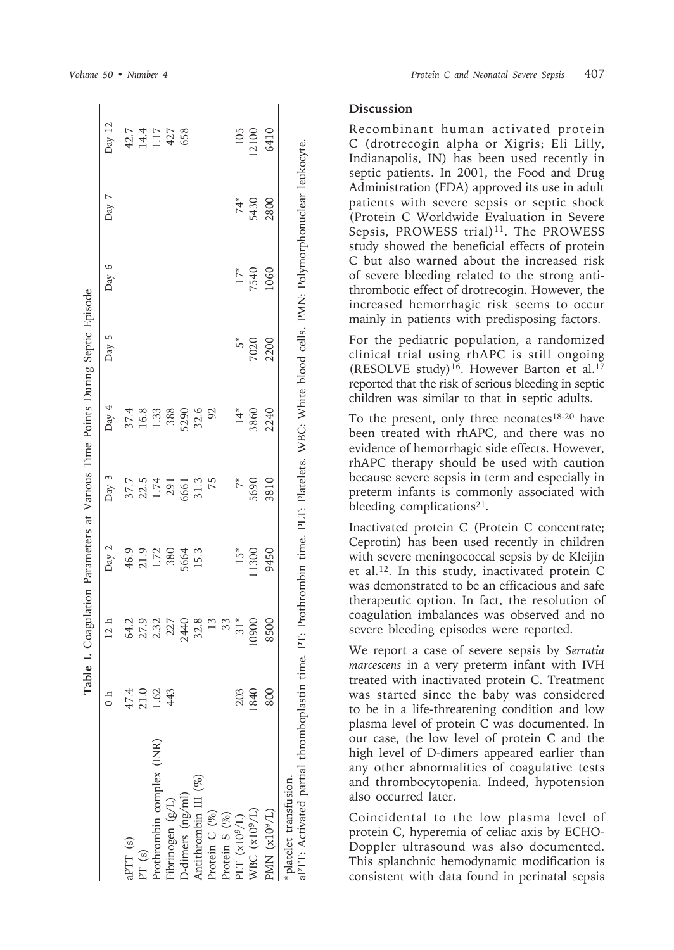|                                                                       | Table I.                             |                                     |                               |                                               | Coagulation Parameters at Various Time Points During Septic Episode                             |              |       |             |                                              |
|-----------------------------------------------------------------------|--------------------------------------|-------------------------------------|-------------------------------|-----------------------------------------------|-------------------------------------------------------------------------------------------------|--------------|-------|-------------|----------------------------------------------|
|                                                                       | $\frac{1}{2}$                        | 12 h                                | Day 2                         | Day 3                                         | Day $4$                                                                                         | Day 5        | Day 6 | Day 7       | Day 12                                       |
| aPTT (s)                                                              |                                      |                                     |                               |                                               |                                                                                                 |              |       |             |                                              |
| PT(s)                                                                 | $47.4$<br>$21.62$<br>$1.63$<br>$443$ | 64.2<br>27.32<br>27.440<br>54.32.31 | 46.9<br>21.72<br>5664<br>5664 | $37.7$<br>$22.5$<br>$1.74$<br>$291$<br>$5661$ | $37.4$<br>16.3<br>1.388<br>1.380                                                                |              |       |             | $42.7$<br>$14.17$<br>$427$<br>$458$<br>$658$ |
| Prothrombin complex (INR)                                             |                                      |                                     |                               |                                               |                                                                                                 |              |       |             |                                              |
| Fibrinogen (g/L)                                                      |                                      |                                     |                               |                                               |                                                                                                 |              |       |             |                                              |
| D-dimers (ng/ml)                                                      |                                      |                                     |                               |                                               |                                                                                                 |              |       |             |                                              |
| Antithrombin III (%)                                                  |                                      |                                     |                               | $31.3$ $75$                                   | 32.6<br>92                                                                                      |              |       |             |                                              |
| Protein C (%)                                                         |                                      |                                     |                               |                                               |                                                                                                 |              |       |             |                                              |
| Protein S (%)                                                         |                                      | 33                                  |                               |                                               |                                                                                                 |              |       |             |                                              |
| PLT $(x10^9/L)$                                                       | 203                                  | $31*$                               | $15*$                         | $\stackrel{*}{\sim}$                          | $14*$                                                                                           |              | $17*$ |             | 105                                          |
| WBC (x10 <sup>9</sup> /L)                                             | 1840                                 | 0900                                | 11300                         | 5690                                          | 3860                                                                                            | $5*$<br>7020 | 7540  | 74*<br>5430 | 12100                                        |
| PMN (x10 <sup>9</sup> /L)                                             | 800                                  | 8500                                | 9450                          | 3810                                          | 2240                                                                                            | 2200         | 1060  | 2800        | 6410                                         |
| aPTT: Activated partial thromboplastin time.<br>platelet transfusion. |                                      |                                     |                               |                                               | PT: Prothrombin time. PLT: Platelets. WBC: White blood cells. PMN: Polymorphonuclear leukocyte. |              |       |             |                                              |

# **Discussion**

Recombinant human activated protein C (drotrecogin alpha or Xigris; Eli Lilly, Indianapolis, IN) has been used recently in septic patients. In 2001, the Food and Drug Administration (FDA) approved its use in adult patients with severe sepsis or septic shock (Protein C Worldwide Evaluation in Severe Sepsis, PROWESS trial)<sup>11</sup>. The PROWESS study showed the beneficial effects of protein C but also warned about the increased risk of severe bleeding related to the strong antithrombotic effect of drotrecogin. However, the increased hemorrhagic risk seems to occur mainly in patients with predisposing factors.

For the pediatric population, a randomized clinical trial using rhAPC is still ongoing (RESOLVE study)<sup>16</sup>. However Barton et al.<sup>17</sup> reported that the risk of serious bleeding in septic children was similar to that in septic adults.

To the present, only three neonates<sup>18-20</sup> have been treated with rhAPC, and there was no evidence of hemorrhagic side effects. However, rhAPC therapy should be used with caution because severe sepsis in term and especially in preterm infants is commonly associated with bleeding complications<sup>21</sup>.

Inactivated protein C (Protein C concentrate; Ceprotin) has been used recently in children with severe meningococcal sepsis by de Kleijin et al.12. In this study, inactivated protein C was demonstrated to be an efficacious and safe therapeutic option. In fact, the resolution of coagulation imbalances was observed and no severe bleeding episodes were reported.

We report a case of severe sepsis by *Serratia marcescens* in a very preterm infant with IVH treated with inactivated protein C. Treatment was started since the baby was considered to be in a life-threatening condition and low plasma level of protein C was documented. In our case, the low level of protein C and the high level of D-dimers appeared earlier than any other abnormalities of coagulative tests and thrombocytopenia. Indeed, hypotension also occurred later.

Coincidental to the low plasma level of protein C, hyperemia of celiac axis by ECHO-Doppler ultrasound was also documented. This splanchnic hemodynamic modification is consistent with data found in perinatal sepsis

 $\mathbf{r} = \mathbf{r}$